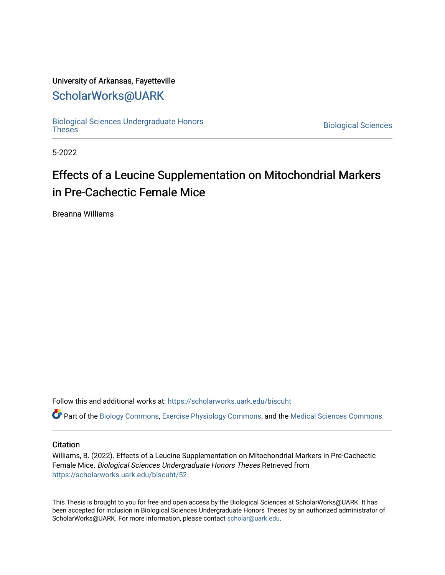## University of Arkansas, Fayetteville

# [ScholarWorks@UARK](https://scholarworks.uark.edu/)

[Biological Sciences Undergraduate Honors](https://scholarworks.uark.edu/biscuht)

**Biological Sciences** 

5-2022

# Effects of a Leucine Supplementation on Mitochondrial Markers in Pre-Cachectic Female Mice

Breanna Williams

Follow this and additional works at: [https://scholarworks.uark.edu/biscuht](https://scholarworks.uark.edu/biscuht?utm_source=scholarworks.uark.edu%2Fbiscuht%2F52&utm_medium=PDF&utm_campaign=PDFCoverPages) 

Part of the [Biology Commons,](http://network.bepress.com/hgg/discipline/41?utm_source=scholarworks.uark.edu%2Fbiscuht%2F52&utm_medium=PDF&utm_campaign=PDFCoverPages) [Exercise Physiology Commons,](http://network.bepress.com/hgg/discipline/73?utm_source=scholarworks.uark.edu%2Fbiscuht%2F52&utm_medium=PDF&utm_campaign=PDFCoverPages) and the [Medical Sciences Commons](http://network.bepress.com/hgg/discipline/664?utm_source=scholarworks.uark.edu%2Fbiscuht%2F52&utm_medium=PDF&utm_campaign=PDFCoverPages)

#### **Citation**

Williams, B. (2022). Effects of a Leucine Supplementation on Mitochondrial Markers in Pre-Cachectic Female Mice. Biological Sciences Undergraduate Honors Theses Retrieved from [https://scholarworks.uark.edu/biscuht/52](https://scholarworks.uark.edu/biscuht/52?utm_source=scholarworks.uark.edu%2Fbiscuht%2F52&utm_medium=PDF&utm_campaign=PDFCoverPages)

This Thesis is brought to you for free and open access by the Biological Sciences at ScholarWorks@UARK. It has been accepted for inclusion in Biological Sciences Undergraduate Honors Theses by an authorized administrator of ScholarWorks@UARK. For more information, please contact [scholar@uark.edu](mailto:scholar@uark.edu).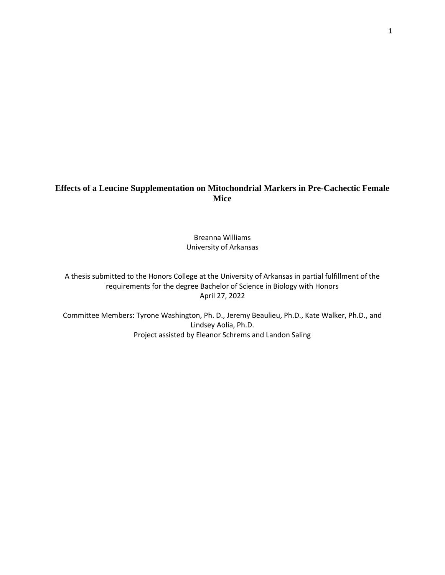# **Effects of a Leucine Supplementation on Mitochondrial Markers in Pre-Cachectic Female Mice**

Breanna Williams University of Arkansas

A thesis submitted to the Honors College at the University of Arkansas in partial fulfillment of the requirements for the degree Bachelor of Science in Biology with Honors April 27, 2022

Committee Members: Tyrone Washington, Ph. D., Jeremy Beaulieu, Ph.D., Kate Walker, Ph.D., and Lindsey Aolia, Ph.D. Project assisted by Eleanor Schrems and Landon Saling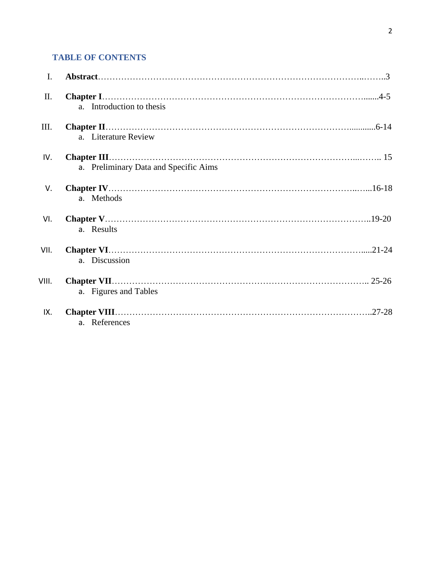# **TABLE OF CONTENTS**

| $\mathbf{I}$ . |                                       |
|----------------|---------------------------------------|
| II.            | a. Introduction to thesis             |
| III.           | a. Literature Review                  |
| IV.            |                                       |
|                | a. Preliminary Data and Specific Aims |
| V.             | a. Methods                            |
| VI.            | a. Results                            |
| VII.           | a. Discussion                         |
| VIII.          | a. Figures and Tables                 |
| IX.            | a. References                         |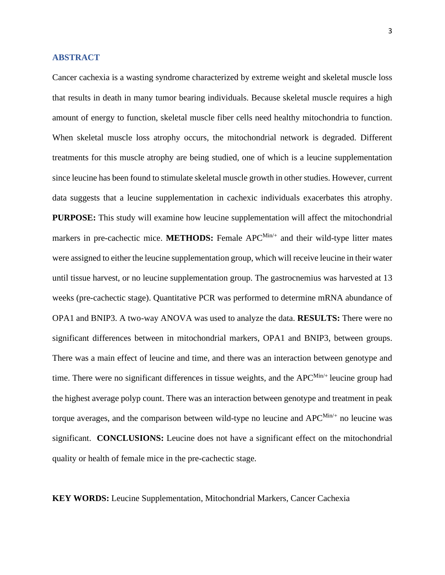#### **ABSTRACT**

Cancer cachexia is a wasting syndrome characterized by extreme weight and skeletal muscle loss that results in death in many tumor bearing individuals. Because skeletal muscle requires a high amount of energy to function, skeletal muscle fiber cells need healthy mitochondria to function. When skeletal muscle loss atrophy occurs, the mitochondrial network is degraded. Different treatments for this muscle atrophy are being studied, one of which is a leucine supplementation since leucine has been found to stimulate skeletal muscle growth in other studies. However, current data suggests that a leucine supplementation in cachexic individuals exacerbates this atrophy. **PURPOSE:** This study will examine how leucine supplementation will affect the mitochondrial markers in pre-cachectic mice. **METHODS:** Female APC<sup>Min/+</sup> and their wild-type litter mates were assigned to either the leucine supplementation group, which will receive leucine in their water until tissue harvest, or no leucine supplementation group. The gastrocnemius was harvested at 13 weeks (pre-cachectic stage). Quantitative PCR was performed to determine mRNA abundance of OPA1 and BNIP3. A two-way ANOVA was used to analyze the data. **RESULTS:** There were no significant differences between in mitochondrial markers, OPA1 and BNIP3, between groups. There was a main effect of leucine and time, and there was an interaction between genotype and time. There were no significant differences in tissue weights, and the  $APC^{Min/+}$  leucine group had the highest average polyp count. There was an interaction between genotype and treatment in peak torque averages, and the comparison between wild-type no leucine and  $APC^{Min/+}$  no leucine was significant. **CONCLUSIONS:** Leucine does not have a significant effect on the mitochondrial quality or health of female mice in the pre-cachectic stage.

**KEY WORDS:** Leucine Supplementation, Mitochondrial Markers, Cancer Cachexia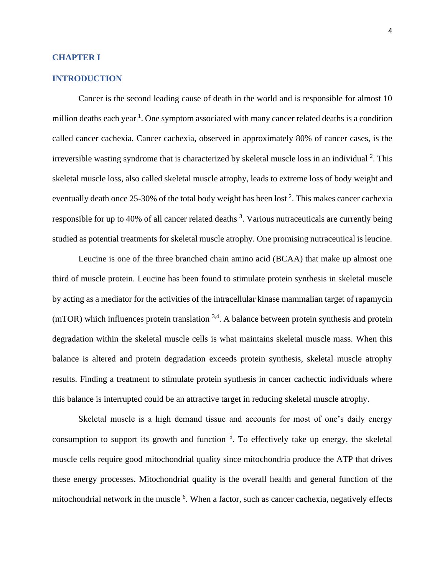#### **CHAPTER I**

#### **INTRODUCTION**

Cancer is the second leading cause of death in the world and is responsible for almost 10 million deaths each year<sup>1</sup>. One symptom associated with many cancer related deaths is a condition called cancer cachexia. Cancer cachexia, observed in approximately 80% of cancer cases, is the irreversible wasting syndrome that is characterized by skeletal muscle loss in an individual <sup>2</sup>. This skeletal muscle loss, also called skeletal muscle atrophy, leads to extreme loss of body weight and eventually death once 25-30% of the total body weight has been lost  $2$ . This makes cancer cachexia responsible for up to 40% of all cancer related deaths <sup>3</sup>. Various nutraceuticals are currently being studied as potential treatments for skeletal muscle atrophy. One promising nutraceutical is leucine.

Leucine is one of the three branched chain amino acid (BCAA) that make up almost one third of muscle protein. Leucine has been found to stimulate protein synthesis in skeletal muscle by acting as a mediator for the activities of the intracellular kinase mammalian target of rapamycin  $(mTOR)$  which influences protein translation  $3,4$ . A balance between protein synthesis and protein degradation within the skeletal muscle cells is what maintains skeletal muscle mass. When this balance is altered and protein degradation exceeds protein synthesis, skeletal muscle atrophy results. Finding a treatment to stimulate protein synthesis in cancer cachectic individuals where this balance is interrupted could be an attractive target in reducing skeletal muscle atrophy.

Skeletal muscle is a high demand tissue and accounts for most of one's daily energy consumption to support its growth and function  $5$ . To effectively take up energy, the skeletal muscle cells require good mitochondrial quality since mitochondria produce the ATP that drives these energy processes. Mitochondrial quality is the overall health and general function of the mitochondrial network in the muscle <sup>6</sup>. When a factor, such as cancer cachexia, negatively effects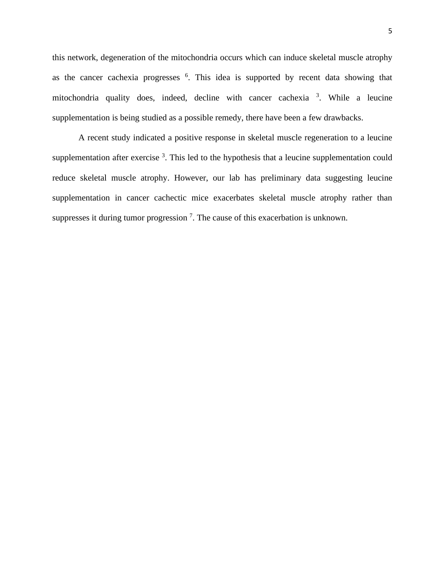this network, degeneration of the mitochondria occurs which can induce skeletal muscle atrophy as the cancer cachexia progresses  $6$ . This idea is supported by recent data showing that mitochondria quality does, indeed, decline with cancer cachexia <sup>3</sup>. While a leucine supplementation is being studied as a possible remedy, there have been a few drawbacks.

A recent study indicated a positive response in skeletal muscle regeneration to a leucine supplementation after exercise  $3$ . This led to the hypothesis that a leucine supplementation could reduce skeletal muscle atrophy. However, our lab has preliminary data suggesting leucine supplementation in cancer cachectic mice exacerbates skeletal muscle atrophy rather than suppresses it during tumor progression<sup>7</sup>. The cause of this exacerbation is unknown.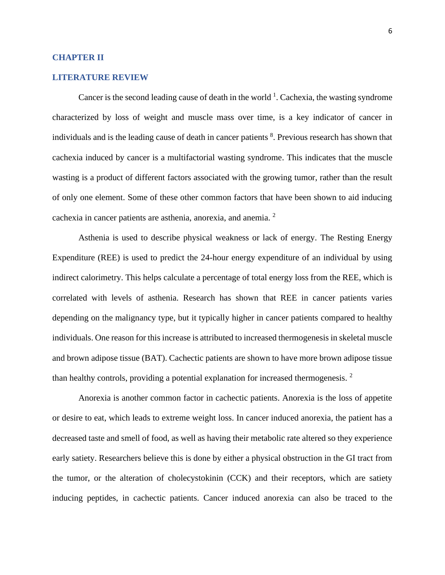#### **CHAPTER II**

#### **LITERATURE REVIEW**

Cancer is the second leading cause of death in the world  $<sup>1</sup>$ . Cachexia, the wasting syndrome</sup> characterized by loss of weight and muscle mass over time, is a key indicator of cancer in individuals and is the leading cause of death in cancer patients <sup>8</sup>. Previous research has shown that cachexia induced by cancer is a multifactorial wasting syndrome. This indicates that the muscle wasting is a product of different factors associated with the growing tumor, rather than the result of only one element. Some of these other common factors that have been shown to aid inducing cachexia in cancer patients are asthenia, anorexia, and anemia. <sup>2</sup>

Asthenia is used to describe physical weakness or lack of energy. The Resting Energy Expenditure (REE) is used to predict the 24-hour energy expenditure of an individual by using indirect calorimetry. This helps calculate a percentage of total energy loss from the REE, which is correlated with levels of asthenia. Research has shown that REE in cancer patients varies depending on the malignancy type, but it typically higher in cancer patients compared to healthy individuals. One reason for this increase is attributed to increased thermogenesis in skeletal muscle and brown adipose tissue (BAT). Cachectic patients are shown to have more brown adipose tissue than healthy controls, providing a potential explanation for increased thermogenesis.  $2$ 

Anorexia is another common factor in cachectic patients. Anorexia is the loss of appetite or desire to eat, which leads to extreme weight loss. In cancer induced anorexia, the patient has a decreased taste and smell of food, as well as having their metabolic rate altered so they experience early satiety. Researchers believe this is done by either a physical obstruction in the GI tract from the tumor, or the alteration of cholecystokinin (CCK) and their receptors, which are satiety inducing peptides, in cachectic patients. Cancer induced anorexia can also be traced to the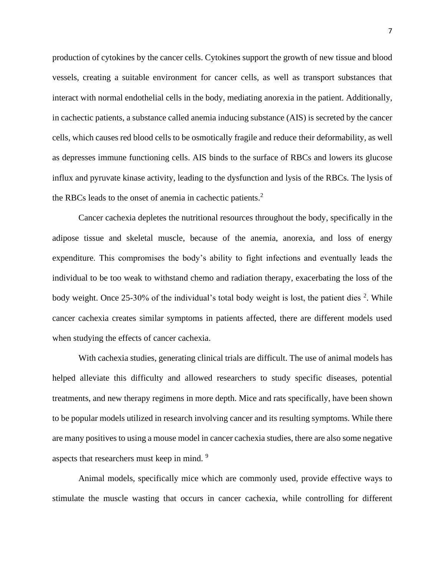production of cytokines by the cancer cells. Cytokines support the growth of new tissue and blood vessels, creating a suitable environment for cancer cells, as well as transport substances that interact with normal endothelial cells in the body, mediating anorexia in the patient. Additionally, in cachectic patients, a substance called anemia inducing substance (AIS) is secreted by the cancer cells, which causes red blood cells to be osmotically fragile and reduce their deformability, as well as depresses immune functioning cells. AIS binds to the surface of RBCs and lowers its glucose influx and pyruvate kinase activity, leading to the dysfunction and lysis of the RBCs. The lysis of the RBCs leads to the onset of anemia in cachectic patients. $2$ 

Cancer cachexia depletes the nutritional resources throughout the body, specifically in the adipose tissue and skeletal muscle, because of the anemia, anorexia, and loss of energy expenditure. This compromises the body's ability to fight infections and eventually leads the individual to be too weak to withstand chemo and radiation therapy, exacerbating the loss of the body weight. Once 25-30% of the individual's total body weight is lost, the patient dies  $2$ . While cancer cachexia creates similar symptoms in patients affected, there are different models used when studying the effects of cancer cachexia.

With cachexia studies, generating clinical trials are difficult. The use of animal models has helped alleviate this difficulty and allowed researchers to study specific diseases, potential treatments, and new therapy regimens in more depth. Mice and rats specifically, have been shown to be popular models utilized in research involving cancer and its resulting symptoms. While there are many positives to using a mouse model in cancer cachexia studies, there are also some negative aspects that researchers must keep in mind. 9

Animal models, specifically mice which are commonly used, provide effective ways to stimulate the muscle wasting that occurs in cancer cachexia, while controlling for different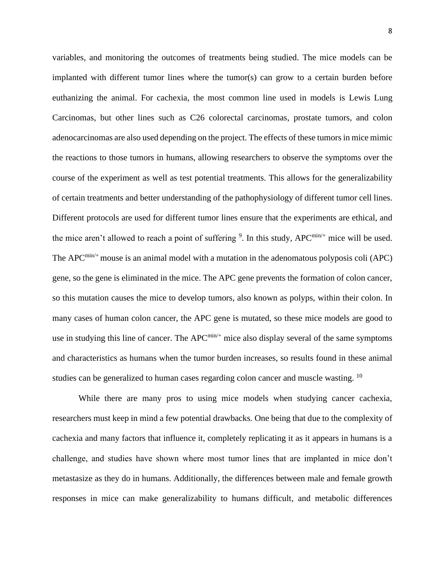variables, and monitoring the outcomes of treatments being studied. The mice models can be implanted with different tumor lines where the tumor(s) can grow to a certain burden before euthanizing the animal. For cachexia, the most common line used in models is Lewis Lung Carcinomas, but other lines such as C26 colorectal carcinomas, prostate tumors, and colon adenocarcinomas are also used depending on the project. The effects of these tumors in mice mimic the reactions to those tumors in humans, allowing researchers to observe the symptoms over the course of the experiment as well as test potential treatments. This allows for the generalizability of certain treatments and better understanding of the pathophysiology of different tumor cell lines. Different protocols are used for different tumor lines ensure that the experiments are ethical, and the mice aren't allowed to reach a point of suffering  $9$ . In this study, APC<sup>min/+</sup> mice will be used. The APC<sup> $min/+$ </sup> mouse is an animal model with a mutation in the adenomatous polyposis coli (APC) gene, so the gene is eliminated in the mice. The APC gene prevents the formation of colon cancer, so this mutation causes the mice to develop tumors, also known as polyps, within their colon. In many cases of human colon cancer, the APC gene is mutated, so these mice models are good to use in studying this line of cancer. The  $APC^{min/+}$  mice also display several of the same symptoms and characteristics as humans when the tumor burden increases, so results found in these animal studies can be generalized to human cases regarding colon cancer and muscle wasting. <sup>10</sup>

While there are many pros to using mice models when studying cancer cachexia, researchers must keep in mind a few potential drawbacks. One being that due to the complexity of cachexia and many factors that influence it, completely replicating it as it appears in humans is a challenge, and studies have shown where most tumor lines that are implanted in mice don't metastasize as they do in humans. Additionally, the differences between male and female growth responses in mice can make generalizability to humans difficult, and metabolic differences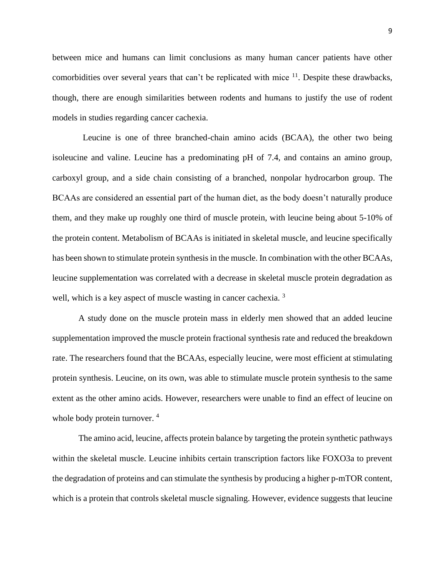between mice and humans can limit conclusions as many human cancer patients have other comorbidities over several years that can't be replicated with mice  $11$ . Despite these drawbacks, though, there are enough similarities between rodents and humans to justify the use of rodent models in studies regarding cancer cachexia.

Leucine is one of three branched-chain amino acids (BCAA), the other two being isoleucine and valine. Leucine has a predominating pH of 7.4, and contains an amino group, carboxyl group, and a side chain consisting of a branched, nonpolar hydrocarbon group. The BCAAs are considered an essential part of the human diet, as the body doesn't naturally produce them, and they make up roughly one third of muscle protein, with leucine being about 5-10% of the protein content. Metabolism of BCAAs is initiated in skeletal muscle, and leucine specifically has been shown to stimulate protein synthesis in the muscle. In combination with the other BCAAs, leucine supplementation was correlated with a decrease in skeletal muscle protein degradation as well, which is a key aspect of muscle wasting in cancer cachexia.<sup>3</sup>

A study done on the muscle protein mass in elderly men showed that an added leucine supplementation improved the muscle protein fractional synthesis rate and reduced the breakdown rate. The researchers found that the BCAAs, especially leucine, were most efficient at stimulating protein synthesis. Leucine, on its own, was able to stimulate muscle protein synthesis to the same extent as the other amino acids. However, researchers were unable to find an effect of leucine on whole body protein turnover.<sup>4</sup>

The amino acid, leucine, affects protein balance by targeting the protein synthetic pathways within the skeletal muscle. Leucine inhibits certain transcription factors like FOXO3a to prevent the degradation of proteins and can stimulate the synthesis by producing a higher p-mTOR content, which is a protein that controls skeletal muscle signaling. However, evidence suggests that leucine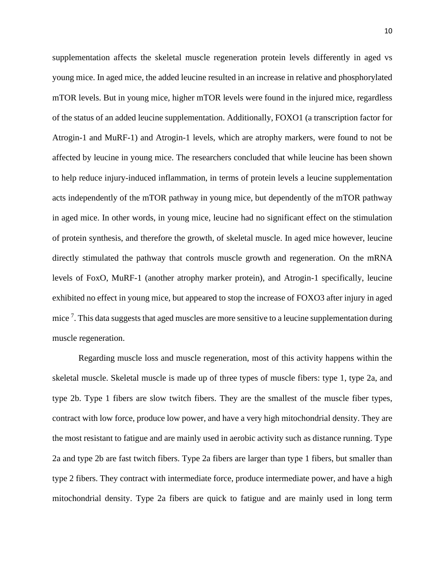supplementation affects the skeletal muscle regeneration protein levels differently in aged vs young mice. In aged mice, the added leucine resulted in an increase in relative and phosphorylated mTOR levels. But in young mice, higher mTOR levels were found in the injured mice, regardless of the status of an added leucine supplementation. Additionally, FOXO1 (a transcription factor for Atrogin-1 and MuRF-1) and Atrogin-1 levels, which are atrophy markers, were found to not be affected by leucine in young mice. The researchers concluded that while leucine has been shown to help reduce injury-induced inflammation, in terms of protein levels a leucine supplementation acts independently of the mTOR pathway in young mice, but dependently of the mTOR pathway in aged mice. In other words, in young mice, leucine had no significant effect on the stimulation of protein synthesis, and therefore the growth, of skeletal muscle. In aged mice however, leucine directly stimulated the pathway that controls muscle growth and regeneration. On the mRNA levels of FoxO, MuRF-1 (another atrophy marker protein), and Atrogin-1 specifically, leucine exhibited no effect in young mice, but appeared to stop the increase of FOXO3 after injury in aged mice<sup>7</sup>. This data suggests that aged muscles are more sensitive to a leucine supplementation during muscle regeneration.

Regarding muscle loss and muscle regeneration, most of this activity happens within the skeletal muscle. Skeletal muscle is made up of three types of muscle fibers: type 1, type 2a, and type 2b. Type 1 fibers are slow twitch fibers. They are the smallest of the muscle fiber types, contract with low force, produce low power, and have a very high mitochondrial density. They are the most resistant to fatigue and are mainly used in aerobic activity such as distance running. Type 2a and type 2b are fast twitch fibers. Type 2a fibers are larger than type 1 fibers, but smaller than type 2 fibers. They contract with intermediate force, produce intermediate power, and have a high mitochondrial density. Type 2a fibers are quick to fatigue and are mainly used in long term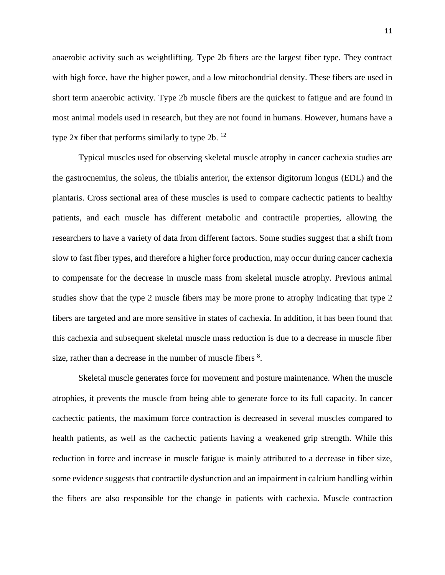anaerobic activity such as weightlifting. Type 2b fibers are the largest fiber type. They contract with high force, have the higher power, and a low mitochondrial density. These fibers are used in short term anaerobic activity. Type 2b muscle fibers are the quickest to fatigue and are found in most animal models used in research, but they are not found in humans. However, humans have a type  $2x$  fiber that performs similarly to type  $2b$ . <sup>12</sup>

Typical muscles used for observing skeletal muscle atrophy in cancer cachexia studies are the gastrocnemius, the soleus, the tibialis anterior, the extensor digitorum longus (EDL) and the plantaris. Cross sectional area of these muscles is used to compare cachectic patients to healthy patients, and each muscle has different metabolic and contractile properties, allowing the researchers to have a variety of data from different factors. Some studies suggest that a shift from slow to fast fiber types, and therefore a higher force production, may occur during cancer cachexia to compensate for the decrease in muscle mass from skeletal muscle atrophy. Previous animal studies show that the type 2 muscle fibers may be more prone to atrophy indicating that type 2 fibers are targeted and are more sensitive in states of cachexia. In addition, it has been found that this cachexia and subsequent skeletal muscle mass reduction is due to a decrease in muscle fiber size, rather than a decrease in the number of muscle fibers  $8$ .

Skeletal muscle generates force for movement and posture maintenance. When the muscle atrophies, it prevents the muscle from being able to generate force to its full capacity. In cancer cachectic patients, the maximum force contraction is decreased in several muscles compared to health patients, as well as the cachectic patients having a weakened grip strength. While this reduction in force and increase in muscle fatigue is mainly attributed to a decrease in fiber size, some evidence suggests that contractile dysfunction and an impairment in calcium handling within the fibers are also responsible for the change in patients with cachexia. Muscle contraction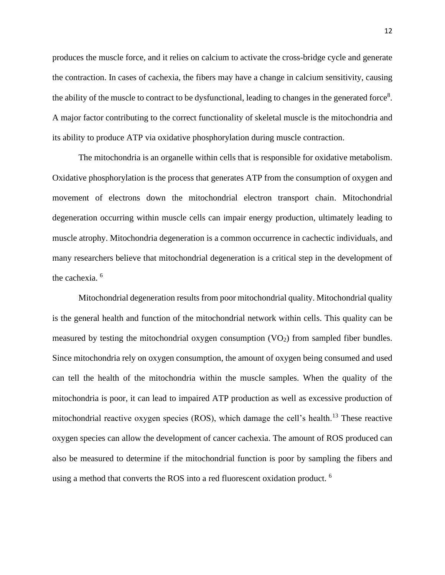produces the muscle force, and it relies on calcium to activate the cross-bridge cycle and generate the contraction. In cases of cachexia, the fibers may have a change in calcium sensitivity, causing the ability of the muscle to contract to be dysfunctional, leading to changes in the generated force<sup>8</sup>. A major factor contributing to the correct functionality of skeletal muscle is the mitochondria and its ability to produce ATP via oxidative phosphorylation during muscle contraction.

The mitochondria is an organelle within cells that is responsible for oxidative metabolism. Oxidative phosphorylation is the process that generates ATP from the consumption of oxygen and movement of electrons down the mitochondrial electron transport chain. Mitochondrial degeneration occurring within muscle cells can impair energy production, ultimately leading to muscle atrophy. Mitochondria degeneration is a common occurrence in cachectic individuals, and many researchers believe that mitochondrial degeneration is a critical step in the development of the cachexia.<sup>6</sup>

Mitochondrial degeneration results from poor mitochondrial quality. Mitochondrial quality is the general health and function of the mitochondrial network within cells. This quality can be measured by testing the mitochondrial oxygen consumption  $(VO<sub>2</sub>)$  from sampled fiber bundles. Since mitochondria rely on oxygen consumption, the amount of oxygen being consumed and used can tell the health of the mitochondria within the muscle samples. When the quality of the mitochondria is poor, it can lead to impaired ATP production as well as excessive production of mitochondrial reactive oxygen species (ROS), which damage the cell's health.<sup>13</sup> These reactive oxygen species can allow the development of cancer cachexia. The amount of ROS produced can also be measured to determine if the mitochondrial function is poor by sampling the fibers and using a method that converts the ROS into a red fluorescent oxidation product. <sup>6</sup>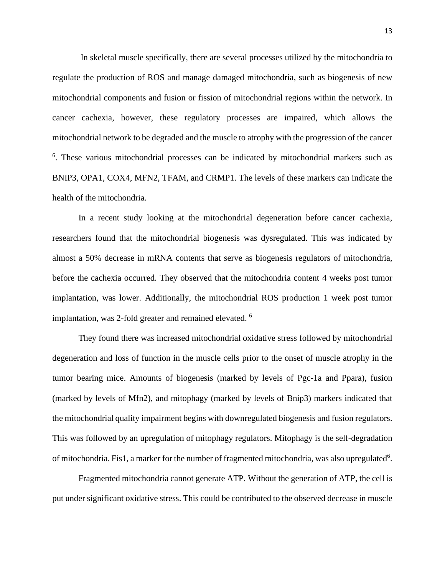In skeletal muscle specifically, there are several processes utilized by the mitochondria to regulate the production of ROS and manage damaged mitochondria, such as biogenesis of new mitochondrial components and fusion or fission of mitochondrial regions within the network. In cancer cachexia, however, these regulatory processes are impaired, which allows the mitochondrial network to be degraded and the muscle to atrophy with the progression of the cancer <sup>6</sup>. These various mitochondrial processes can be indicated by mitochondrial markers such as BNIP3, OPA1, COX4, MFN2, TFAM, and CRMP1. The levels of these markers can indicate the health of the mitochondria.

In a recent study looking at the mitochondrial degeneration before cancer cachexia, researchers found that the mitochondrial biogenesis was dysregulated. This was indicated by almost a 50% decrease in mRNA contents that serve as biogenesis regulators of mitochondria, before the cachexia occurred. They observed that the mitochondria content 4 weeks post tumor implantation, was lower. Additionally, the mitochondrial ROS production 1 week post tumor implantation, was 2-fold greater and remained elevated.<sup>6</sup>

They found there was increased mitochondrial oxidative stress followed by mitochondrial degeneration and loss of function in the muscle cells prior to the onset of muscle atrophy in the tumor bearing mice. Amounts of biogenesis (marked by levels of Pgc-1a and Ppara), fusion (marked by levels of Mfn2), and mitophagy (marked by levels of Bnip3) markers indicated that the mitochondrial quality impairment begins with downregulated biogenesis and fusion regulators. This was followed by an upregulation of mitophagy regulators. Mitophagy is the self-degradation of mitochondria. Fis1, a marker for the number of fragmented mitochondria, was also upregulated<sup>6</sup>.

Fragmented mitochondria cannot generate ATP. Without the generation of ATP, the cell is put under significant oxidative stress. This could be contributed to the observed decrease in muscle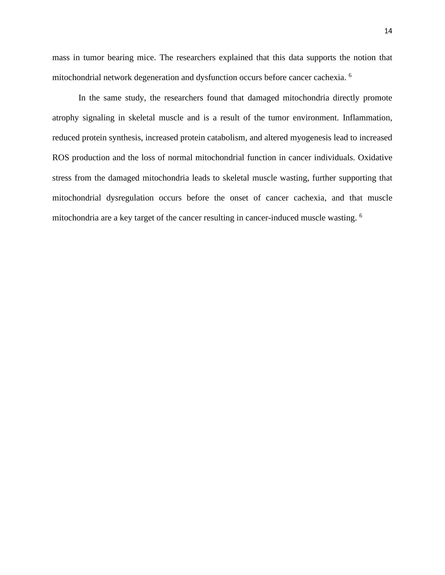mass in tumor bearing mice. The researchers explained that this data supports the notion that mitochondrial network degeneration and dysfunction occurs before cancer cachexia. 6

In the same study, the researchers found that damaged mitochondria directly promote atrophy signaling in skeletal muscle and is a result of the tumor environment. Inflammation, reduced protein synthesis, increased protein catabolism, and altered myogenesis lead to increased ROS production and the loss of normal mitochondrial function in cancer individuals. Oxidative stress from the damaged mitochondria leads to skeletal muscle wasting, further supporting that mitochondrial dysregulation occurs before the onset of cancer cachexia, and that muscle mitochondria are a key target of the cancer resulting in cancer-induced muscle wasting. <sup>6</sup>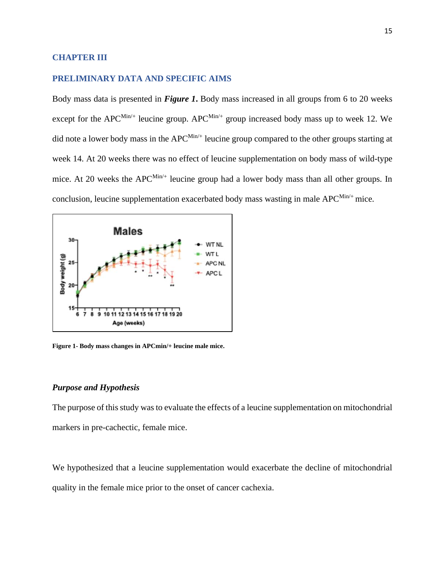#### **CHAPTER III**

#### **PRELIMINARY DATA AND SPECIFIC AIMS**

Body mass data is presented in *Figure 1***.** Body mass increased in all groups from 6 to 20 weeks except for the APC<sup>Min/+</sup> leucine group. APC<sup>Min/+</sup> group increased body mass up to week 12. We did note a lower body mass in the  $APC^{\text{Min}/+}$  leucine group compared to the other groups starting at week 14. At 20 weeks there was no effect of leucine supplementation on body mass of wild-type mice. At 20 weeks the APC $^{Min/+}$  leucine group had a lower body mass than all other groups. In conclusion, leucine supplementation exacerbated body mass wasting in male  $APC^{Min/+}$  mice.



**Figure 1- Body mass changes in APCmin/+ leucine male mice.**

#### *Purpose and Hypothesis*

The purpose of this study was to evaluate the effects of a leucine supplementation on mitochondrial markers in pre-cachectic, female mice.

We hypothesized that a leucine supplementation would exacerbate the decline of mitochondrial quality in the female mice prior to the onset of cancer cachexia.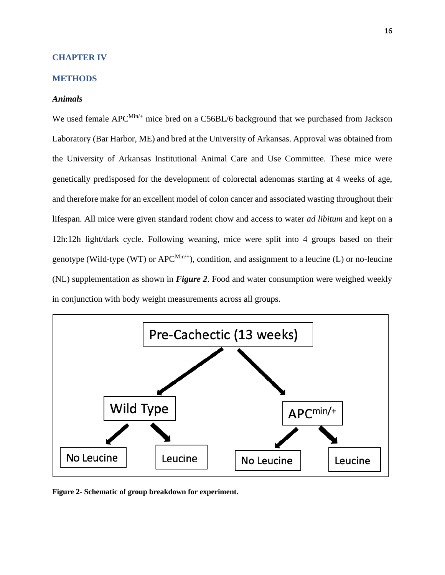#### **CHAPTER IV**

#### **METHODS**

#### *Animals*

We used female APC<sup>Min/+</sup> mice bred on a C56BL/6 background that we purchased from Jackson Laboratory (Bar Harbor, ME) and bred at the University of Arkansas. Approval was obtained from the University of Arkansas Institutional Animal Care and Use Committee. These mice were genetically predisposed for the development of colorectal adenomas starting at 4 weeks of age, and therefore make for an excellent model of colon cancer and associated wasting throughout their lifespan. All mice were given standard rodent chow and access to water *ad libitum* and kept on a 12h:12h light/dark cycle. Following weaning, mice were split into 4 groups based on their genotype (Wild-type (WT) or  $APC^{\text{Min}/+}$ ), condition, and assignment to a leucine (L) or no-leucine (NL) supplementation as shown in *Figure 2*. Food and water consumption were weighed weekly in conjunction with body weight measurements across all groups.



**Figure 2- Schematic of group breakdown for experiment.**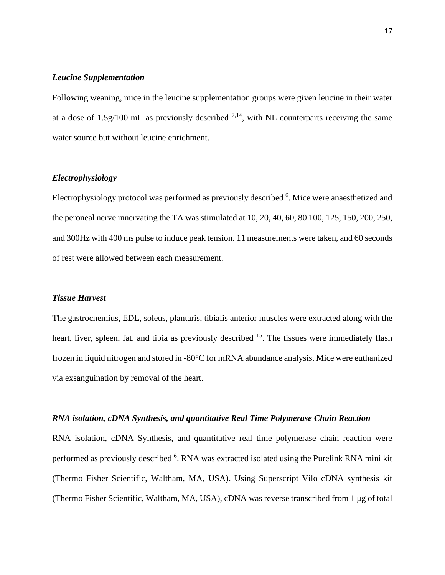#### *Leucine Supplementation*

Following weaning, mice in the leucine supplementation groups were given leucine in their water at a dose of 1.5 $g/100$  mL as previously described  $^{7,14}$ , with NL counterparts receiving the same water source but without leucine enrichment.

#### *Electrophysiology*

Electrophysiology protocol was performed as previously described <sup>6</sup>. Mice were anaesthetized and the peroneal nerve innervating the TA was stimulated at 10, 20, 40, 60, 80 100, 125, 150, 200, 250, and 300Hz with 400 ms pulse to induce peak tension. 11 measurements were taken, and 60 seconds of rest were allowed between each measurement.

#### *Tissue Harvest*

The gastrocnemius, EDL, soleus, plantaris, tibialis anterior muscles were extracted along with the heart, liver, spleen, fat, and tibia as previously described <sup>15</sup>. The tissues were immediately flash frozen in liquid nitrogen and stored in -80°C for mRNA abundance analysis. Mice were euthanized via exsanguination by removal of the heart.

#### *RNA isolation, cDNA Synthesis, and quantitative Real Time Polymerase Chain Reaction*

RNA isolation, cDNA Synthesis, and quantitative real time polymerase chain reaction were performed as previously described <sup>6</sup>. RNA was extracted isolated using the Purelink RNA mini kit (Thermo Fisher Scientific, Waltham, MA, USA). Using Superscript Vilo cDNA synthesis kit (Thermo Fisher Scientific, Waltham, MA, USA), cDNA was reverse transcribed from 1 μg of total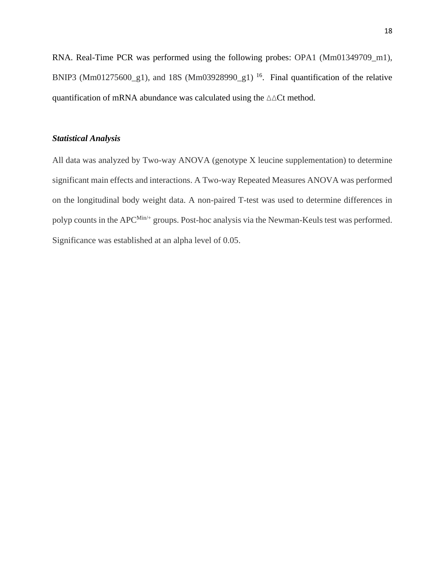RNA. Real-Time PCR was performed using the following probes: OPA1 (Mm01349709\_m1), BNIP3 (Mm01275600 $\_\text{g}$ 1), and 18S (Mm03928990 $\_\text{g}$ 1)<sup>16</sup>. Final quantification of the relative quantification of mRNA abundance was calculated using the ∆∆Ct method.

#### *Statistical Analysis*

All data was analyzed by Two-way ANOVA (genotype X leucine supplementation) to determine significant main effects and interactions. A Two-way Repeated Measures ANOVA was performed on the longitudinal body weight data. A non-paired T-test was used to determine differences in polyp counts in the APC<sup>Min/+</sup> groups. Post-hoc analysis via the Newman-Keuls test was performed. Significance was established at an alpha level of 0.05.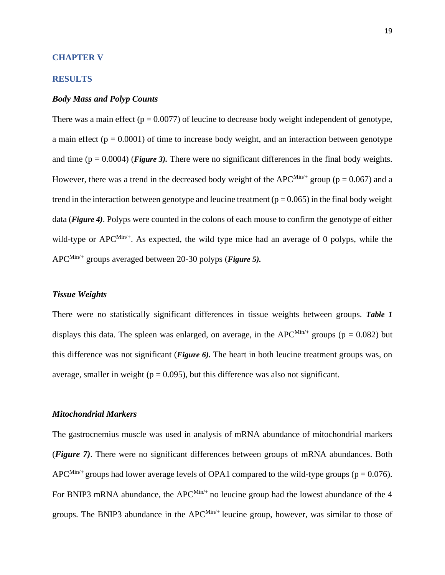#### **CHAPTER V**

#### **RESULTS**

#### *Body Mass and Polyp Counts*

There was a main effect ( $p = 0.0077$ ) of leucine to decrease body weight independent of genotype, a main effect ( $p = 0.0001$ ) of time to increase body weight, and an interaction between genotype and time  $(p = 0.0004)$  (*Figure 3*). There were no significant differences in the final body weights. However, there was a trend in the decreased body weight of the APC<sup>Min/+</sup> group ( $p = 0.067$ ) and a trend in the interaction between genotype and leucine treatment ( $p = 0.065$ ) in the final body weight data (*Figure 4)*. Polyps were counted in the colons of each mouse to confirm the genotype of either wild-type or  $APC^{\text{Min}/+}$ . As expected, the wild type mice had an average of 0 polyps, while the APC Min/+ groups averaged between 20-30 polyps (*Figure 5).* 

#### *Tissue Weights*

There were no statistically significant differences in tissue weights between groups. *Table 1* displays this data. The spleen was enlarged, on average, in the APC<sup>Min/+</sup> groups ( $p = 0.082$ ) but this difference was not significant (*Figure 6).* The heart in both leucine treatment groups was, on average, smaller in weight ( $p = 0.095$ ), but this difference was also not significant.

#### *Mitochondrial Markers*

The gastrocnemius muscle was used in analysis of mRNA abundance of mitochondrial markers (*Figure 7)*. There were no significant differences between groups of mRNA abundances. Both APC<sup>Min/+</sup> groups had lower average levels of OPA1 compared to the wild-type groups ( $p = 0.076$ ). For BNIP3 mRNA abundance, the APC $^{Min/+}$  no leucine group had the lowest abundance of the 4 groups. The BNIP3 abundance in the  $APC^{Min/+}$  leucine group, however, was similar to those of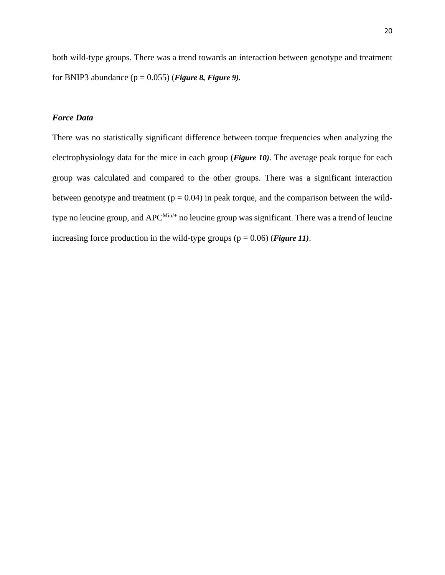both wild-type groups. There was a trend towards an interaction between genotype and treatment for BNIP3 abundance  $(p = 0.055)$  (*Figure 8, Figure 9*).

#### *Force Data*

There was no statistically significant difference between torque frequencies when analyzing the electrophysiology data for the mice in each group (*Figure 10)*. The average peak torque for each group was calculated and compared to the other groups. There was a significant interaction between genotype and treatment ( $p = 0.04$ ) in peak torque, and the comparison between the wildtype no leucine group, and  $APC^{\text{Min}/+}$  no leucine group was significant. There was a trend of leucine increasing force production in the wild-type groups (p = 0.06) (*Figure 11)*.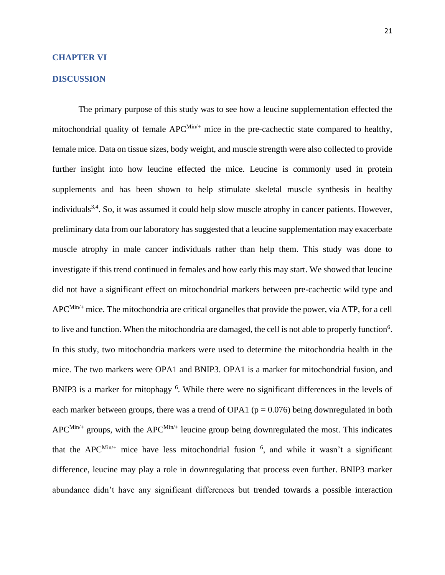#### **CHAPTER VI**

#### **DISCUSSION**

The primary purpose of this study was to see how a leucine supplementation effected the mitochondrial quality of female APC<sup>Min/+</sup> mice in the pre-cachectic state compared to healthy, female mice. Data on tissue sizes, body weight, and muscle strength were also collected to provide further insight into how leucine effected the mice. Leucine is commonly used in protein supplements and has been shown to help stimulate skeletal muscle synthesis in healthy individuals<sup>3,4</sup>. So, it was assumed it could help slow muscle atrophy in cancer patients. However, preliminary data from our laboratory has suggested that a leucine supplementation may exacerbate muscle atrophy in male cancer individuals rather than help them. This study was done to investigate if this trend continued in females and how early this may start. We showed that leucine did not have a significant effect on mitochondrial markers between pre-cachectic wild type and  $APC<sup>Min/+</sup>$  mice. The mitochondria are critical organelles that provide the power, via ATP, for a cell to live and function. When the mitochondria are damaged, the cell is not able to properly function<sup>6</sup>. In this study, two mitochondria markers were used to determine the mitochondria health in the mice. The two markers were OPA1 and BNIP3. OPA1 is a marker for mitochondrial fusion, and BNIP3 is a marker for mitophagy <sup>6</sup>. While there were no significant differences in the levels of each marker between groups, there was a trend of OPA1 ( $p = 0.076$ ) being downregulated in both  $APC<sup>Min/+</sup>$  groups, with the APC<sup>Min/+</sup> leucine group being downregulated the most. This indicates that the APC<sup>Min/+</sup> mice have less mitochondrial fusion  $\frac{6}{7}$ , and while it wasn't a significant difference, leucine may play a role in downregulating that process even further. BNIP3 marker abundance didn't have any significant differences but trended towards a possible interaction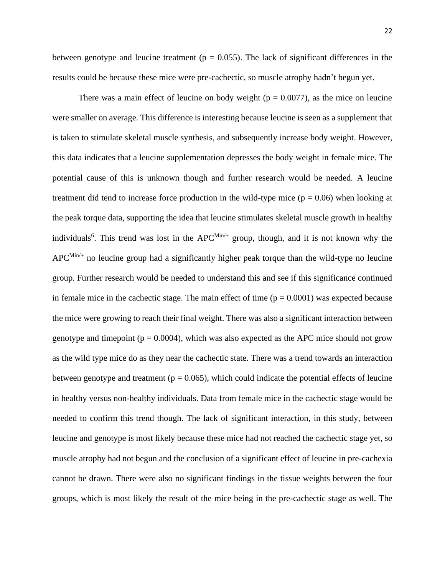between genotype and leucine treatment ( $p = 0.055$ ). The lack of significant differences in the results could be because these mice were pre-cachectic, so muscle atrophy hadn't begun yet.

There was a main effect of leucine on body weight ( $p = 0.0077$ ), as the mice on leucine were smaller on average. This difference is interesting because leucine is seen as a supplement that is taken to stimulate skeletal muscle synthesis, and subsequently increase body weight. However, this data indicates that a leucine supplementation depresses the body weight in female mice. The potential cause of this is unknown though and further research would be needed. A leucine treatment did tend to increase force production in the wild-type mice  $(p = 0.06)$  when looking at the peak torque data, supporting the idea that leucine stimulates skeletal muscle growth in healthy individuals<sup>6</sup>. This trend was lost in the APC<sup>Min/+</sup> group, though, and it is not known why the  $APC^{\text{Min}/+}$  no leucine group had a significantly higher peak torque than the wild-type no leucine group. Further research would be needed to understand this and see if this significance continued in female mice in the cachectic stage. The main effect of time  $(p = 0.0001)$  was expected because the mice were growing to reach their final weight. There was also a significant interaction between genotype and timepoint ( $p = 0.0004$ ), which was also expected as the APC mice should not grow as the wild type mice do as they near the cachectic state. There was a trend towards an interaction between genotype and treatment ( $p = 0.065$ ), which could indicate the potential effects of leucine in healthy versus non-healthy individuals. Data from female mice in the cachectic stage would be needed to confirm this trend though. The lack of significant interaction, in this study, between leucine and genotype is most likely because these mice had not reached the cachectic stage yet, so muscle atrophy had not begun and the conclusion of a significant effect of leucine in pre-cachexia cannot be drawn. There were also no significant findings in the tissue weights between the four groups, which is most likely the result of the mice being in the pre-cachectic stage as well. The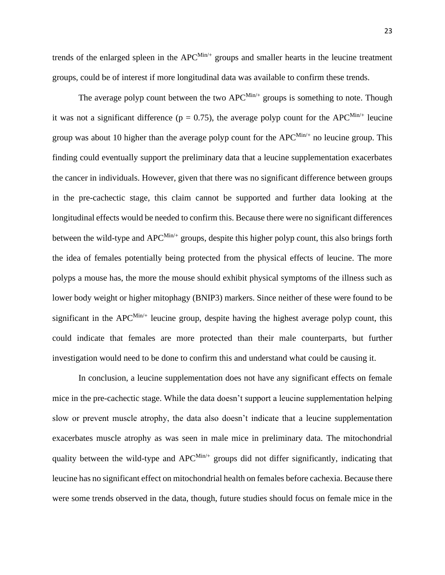23

trends of the enlarged spleen in the APC<sup>Min/+</sup> groups and smaller hearts in the leucine treatment groups, could be of interest if more longitudinal data was available to confirm these trends.

The average polyp count between the two  $APC^{Min/+}$  groups is something to note. Though it was not a significant difference ( $p = 0.75$ ), the average polyp count for the APC<sup>Min/+</sup> leucine group was about 10 higher than the average polyp count for the  $APC^{\text{Min}/+}$  no leucine group. This finding could eventually support the preliminary data that a leucine supplementation exacerbates the cancer in individuals. However, given that there was no significant difference between groups in the pre-cachectic stage, this claim cannot be supported and further data looking at the longitudinal effects would be needed to confirm this. Because there were no significant differences between the wild-type and  $APC<sup>Min/+</sup>$  groups, despite this higher polyp count, this also brings forth the idea of females potentially being protected from the physical effects of leucine. The more polyps a mouse has, the more the mouse should exhibit physical symptoms of the illness such as lower body weight or higher mitophagy (BNIP3) markers. Since neither of these were found to be significant in the APC $^{Min/+}$  leucine group, despite having the highest average polyp count, this could indicate that females are more protected than their male counterparts, but further investigation would need to be done to confirm this and understand what could be causing it.

In conclusion, a leucine supplementation does not have any significant effects on female mice in the pre-cachectic stage. While the data doesn't support a leucine supplementation helping slow or prevent muscle atrophy, the data also doesn't indicate that a leucine supplementation exacerbates muscle atrophy as was seen in male mice in preliminary data. The mitochondrial quality between the wild-type and  $APC^{Min/+}$  groups did not differ significantly, indicating that leucine has no significant effect on mitochondrial health on females before cachexia. Because there were some trends observed in the data, though, future studies should focus on female mice in the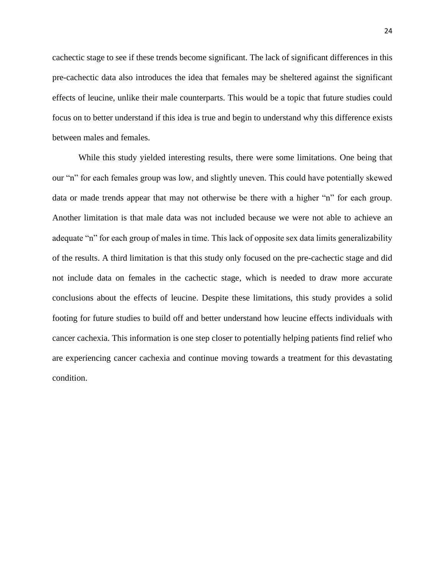cachectic stage to see if these trends become significant. The lack of significant differences in this pre-cachectic data also introduces the idea that females may be sheltered against the significant effects of leucine, unlike their male counterparts. This would be a topic that future studies could focus on to better understand if this idea is true and begin to understand why this difference exists between males and females.

While this study yielded interesting results, there were some limitations. One being that our "n" for each females group was low, and slightly uneven. This could have potentially skewed data or made trends appear that may not otherwise be there with a higher "n" for each group. Another limitation is that male data was not included because we were not able to achieve an adequate "n" for each group of males in time. This lack of opposite sex data limits generalizability of the results. A third limitation is that this study only focused on the pre-cachectic stage and did not include data on females in the cachectic stage, which is needed to draw more accurate conclusions about the effects of leucine. Despite these limitations, this study provides a solid footing for future studies to build off and better understand how leucine effects individuals with cancer cachexia. This information is one step closer to potentially helping patients find relief who are experiencing cancer cachexia and continue moving towards a treatment for this devastating condition.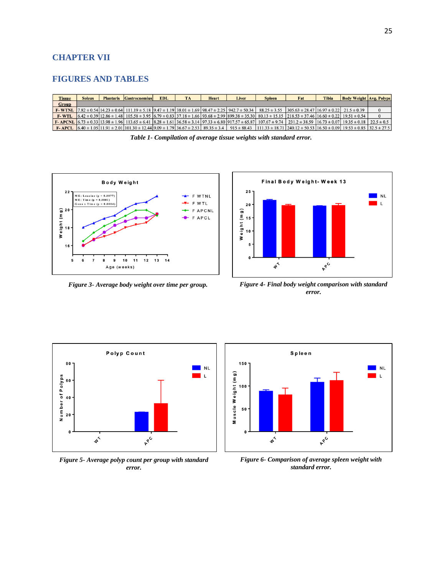#### **CHAPTER VII**

#### **FIGURES AND TABLES**

| <b>Tissue</b> | <b>Soleus</b> | <b>Plantaris</b> Gastrocnemius | EDL | <b>TA</b> | <b>Heart</b> | Liver | <b>Spleen</b> | Fat                                                                                                                                                                                                                                                                                                                 | Tibia | <b>Body Weight Avg. Polyps</b> |          |
|---------------|---------------|--------------------------------|-----|-----------|--------------|-------|---------------|---------------------------------------------------------------------------------------------------------------------------------------------------------------------------------------------------------------------------------------------------------------------------------------------------------------------|-------|--------------------------------|----------|
| Group         |               |                                |     |           |              |       |               |                                                                                                                                                                                                                                                                                                                     |       |                                |          |
|               |               |                                |     |           |              |       |               | <b>F-WTNL</b> $ 7.82 \pm 0.54 14.23 \pm 0.64 111.19 \pm 5.18 9.47 \pm 1.19 38.01 \pm 1.69 98.47 \pm 2.25 942.7 \pm 50.34 88.25 \pm 3.55 305.63 \pm 28.47 16.97 \pm 0.22 21.5 \pm 0.39$                                                                                                                              |       |                                |          |
| <b>F-WTL</b>  |               |                                |     |           |              |       |               | $(6.42 \pm 0.39)$ $[12.86 \pm 1.48]$ $[105.58 \pm 3.95]$ $[6.79 \pm 0.83]$ $[37.18 \pm 1.66]$ $[93.68 \pm 2.99]$ $[899.38 \pm 35.30]$ $[80.13 \pm 15.15]$ $[218.53 \pm 37.46]$ $[16.60 \pm 0.22]$ $[19.51 \pm 0.54]$                                                                                                |       |                                | $\Omega$ |
|               |               |                                |     |           |              |       |               | <b>F-APCNL</b> $\begin{bmatrix} 6.73 \pm 0.33 \end{bmatrix}$ 13.98 $\pm$ 1.96 113.65 $\pm$ 6.41 $\begin{bmatrix} 8.28 \pm 1.61 \end{bmatrix}$ 36.58 $\pm$ 3.14 $\begin{bmatrix} 97.33 \pm 6.80 \end{bmatrix}$ 917.57 $\pm$ 65.87 107.67 $\pm$ 9.74 $\begin{bmatrix} 231.2 \pm 38.59 \end{bmatrix}$ 16.73 $\pm$ 0.07 |       |                                |          |
|               |               |                                |     |           |              |       |               | <b>F-APCL</b> $(6.40 \pm 1.05)(11.91 \pm 2.01)(101.30 \pm 12.44)(9.09 \pm 1.79)(36.67 \pm 2.53)(89.35 \pm 3.4)(915 \pm 88.43)(111.33 \pm 18.71)(240.12 \pm 50.53)(16.50 \pm 0.09)(19.53 \pm 0.85)(32.5 \pm 27.5)$                                                                                                   |       |                                |          |

*Table 1- Compilation of average tissue weights with standard error.*





*Figure 3- Average body weight over time per group. Figure 4- Final body weight comparison with standard error.*



*Figure 5- Average polyp count per group with standard error.*



*Figure 6- Comparison of average spleen weight with standard error.*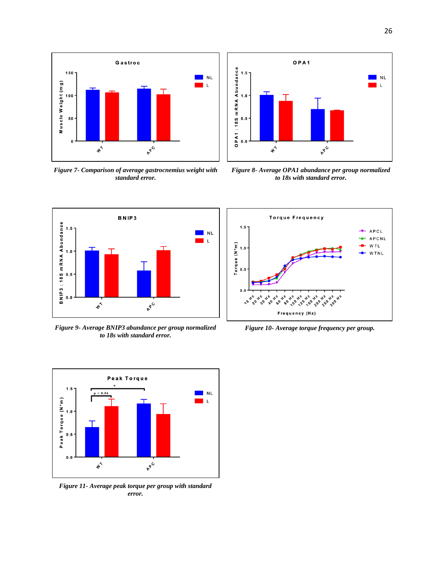

*Figure 7- Comparison of average gastrocnemius weight with standard error.*



*Figure 8- Average OPA1 abundance per group normalized to 18s with standard error.*



*Figure 9- Average BNIP3 abundance per group normalized to 18s with standard error.*



*Figure 11- Average peak torque per group with standard error.*



*Figure 10- Average torque frequency per group.*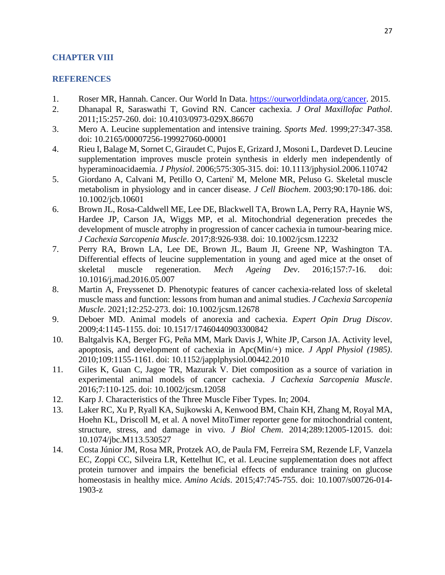## **CHAPTER VIII**

### **REFERENCES**

- 1. Roser MR, Hannah. Cancer. Our World In Data. [https://ourworldindata.org/cancer.](https://ourworldindata.org/cancer) 2015.
- 2. Dhanapal R, Saraswathi T, Govind RN. Cancer cachexia. *J Oral Maxillofac Pathol*. 2011;15:257-260. doi: 10.4103/0973-029X.86670
- 3. Mero A. Leucine supplementation and intensive training. *Sports Med*. 1999;27:347-358. doi: 10.2165/00007256-199927060-00001
- 4. Rieu I, Balage M, Sornet C, Giraudet C, Pujos E, Grizard J, Mosoni L, Dardevet D. Leucine supplementation improves muscle protein synthesis in elderly men independently of hyperaminoacidaemia. *J Physiol*. 2006;575:305-315. doi: 10.1113/jphysiol.2006.110742
- 5. Giordano A, Calvani M, Petillo O, Carteni' M, Melone MR, Peluso G. Skeletal muscle metabolism in physiology and in cancer disease. *J Cell Biochem*. 2003;90:170-186. doi: 10.1002/jcb.10601
- 6. Brown JL, Rosa-Caldwell ME, Lee DE, Blackwell TA, Brown LA, Perry RA, Haynie WS, Hardee JP, Carson JA, Wiggs MP, et al. Mitochondrial degeneration precedes the development of muscle atrophy in progression of cancer cachexia in tumour-bearing mice. *J Cachexia Sarcopenia Muscle*. 2017;8:926-938. doi: 10.1002/jcsm.12232
- 7. Perry RA, Brown LA, Lee DE, Brown JL, Baum JI, Greene NP, Washington TA. Differential effects of leucine supplementation in young and aged mice at the onset of skeletal muscle regeneration. *Mech Ageing Dev*. 2016;157:7-16. doi: 10.1016/j.mad.2016.05.007
- 8. Martin A, Freyssenet D. Phenotypic features of cancer cachexia-related loss of skeletal muscle mass and function: lessons from human and animal studies. *J Cachexia Sarcopenia Muscle*. 2021;12:252-273. doi: 10.1002/jcsm.12678
- 9. Deboer MD. Animal models of anorexia and cachexia. *Expert Opin Drug Discov*. 2009;4:1145-1155. doi: 10.1517/17460440903300842
- 10. Baltgalvis KA, Berger FG, Peña MM, Mark Davis J, White JP, Carson JA. Activity level, apoptosis, and development of cachexia in Apc(Min/+) mice. *J Appl Physiol (1985)*. 2010;109:1155-1161. doi: 10.1152/japplphysiol.00442.2010
- 11. Giles K, Guan C, Jagoe TR, Mazurak V. Diet composition as a source of variation in experimental animal models of cancer cachexia. *J Cachexia Sarcopenia Muscle*. 2016;7:110-125. doi: 10.1002/jcsm.12058
- 12. Karp J. Characteristics of the Three Muscle Fiber Types. In; 2004.
- 13. Laker RC, Xu P, Ryall KA, Sujkowski A, Kenwood BM, Chain KH, Zhang M, Royal MA, Hoehn KL, Driscoll M, et al. A novel MitoTimer reporter gene for mitochondrial content, structure, stress, and damage in vivo. *J Biol Chem*. 2014;289:12005-12015. doi: 10.1074/jbc.M113.530527
- 14. Costa Júnior JM, Rosa MR, Protzek AO, de Paula FM, Ferreira SM, Rezende LF, Vanzela EC, Zoppi CC, Silveira LR, Kettelhut IC, et al. Leucine supplementation does not affect protein turnover and impairs the beneficial effects of endurance training on glucose homeostasis in healthy mice. *Amino Acids*. 2015;47:745-755. doi: 10.1007/s00726-014- 1903-z